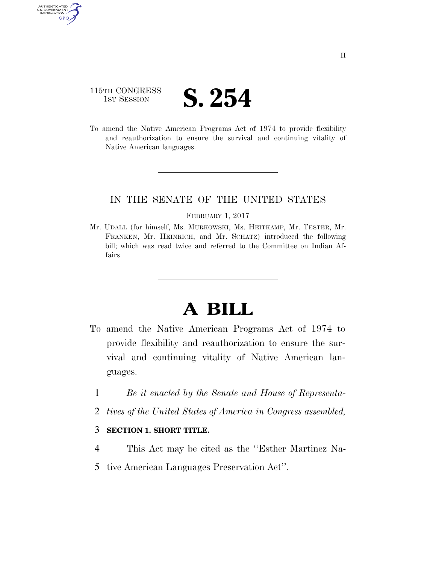# 115TH CONGRESS **IST SESSION S. 254**

AUTHENTICATED<br>U.S. GOVERNMENT<br>INFORMATION **GPO** 

> To amend the Native American Programs Act of 1974 to provide flexibility and reauthorization to ensure the survival and continuing vitality of Native American languages.

## IN THE SENATE OF THE UNITED STATES

#### FEBRUARY 1, 2017

Mr. UDALL (for himself, Ms. MURKOWSKI, Ms. HEITKAMP, Mr. TESTER, Mr. FRANKEN, Mr. HEINRICH, and Mr. SCHATZ) introduced the following bill; which was read twice and referred to the Committee on Indian Affairs

# **A BILL**

- To amend the Native American Programs Act of 1974 to provide flexibility and reauthorization to ensure the survival and continuing vitality of Native American languages.
	- 1 *Be it enacted by the Senate and House of Representa-*
	- 2 *tives of the United States of America in Congress assembled,*

### 3 **SECTION 1. SHORT TITLE.**

- 4 This Act may be cited as the ''Esther Martinez Na-
- 5 tive American Languages Preservation Act''.